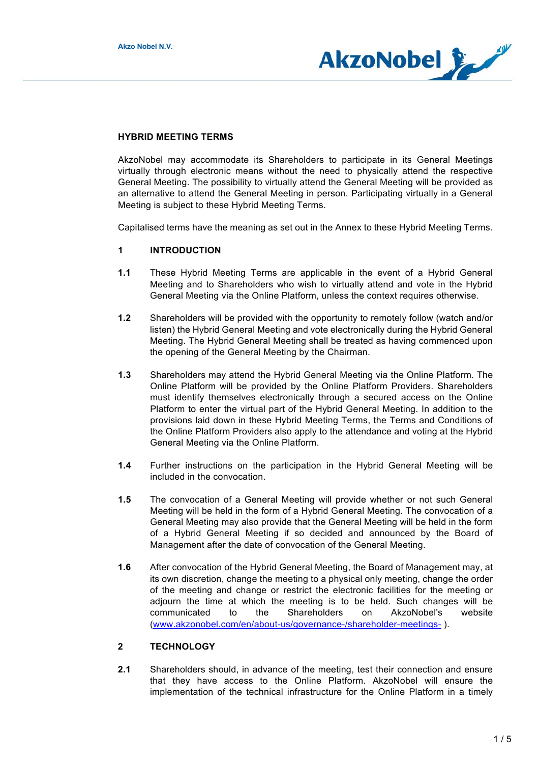

## **HYBRID MEETING TERMS**

AkzoNobel may accommodate its Shareholders to participate in its General Meetings virtually through electronic means without the need to physically attend the respective General Meeting. The possibility to virtually attend the General Meeting will be provided as an alternative to attend the General Meeting in person. Participating virtually in a General Meeting is subject to these Hybrid Meeting Terms.

Capitalised terms have the meaning as set out in the Annex to these Hybrid Meeting Terms.

#### **1 INTRODUCTION**

- **1.1** These Hybrid Meeting Terms are applicable in the event of a Hybrid General Meeting and to Shareholders who wish to virtually attend and vote in the Hybrid General Meeting via the Online Platform, unless the context requires otherwise.
- **1.2** Shareholders will be provided with the opportunity to remotely follow (watch and/or listen) the Hybrid General Meeting and vote electronically during the Hybrid General Meeting. The Hybrid General Meeting shall be treated as having commenced upon the opening of the General Meeting by the Chairman.
- **1.3** Shareholders may attend the Hybrid General Meeting via the Online Platform. The Online Platform will be provided by the Online Platform Providers. Shareholders must identify themselves electronically through a secured access on the Online Platform to enter the virtual part of the Hybrid General Meeting. In addition to the provisions laid down in these Hybrid Meeting Terms, the Terms and Conditions of the Online Platform Providers also apply to the attendance and voting at the Hybrid General Meeting via the Online Platform.
- **1.4** Further instructions on the participation in the Hybrid General Meeting will be included in the convocation.
- **1.5** The convocation of a General Meeting will provide whether or not such General Meeting will be held in the form of a Hybrid General Meeting. The convocation of a General Meeting may also provide that the General Meeting will be held in the form of a Hybrid General Meeting if so decided and announced by the Board of Management after the date of convocation of the General Meeting.
- **1.6** After convocation of the Hybrid General Meeting, the Board of Management may, at its own discretion, change the meeting to a physical only meeting, change the order of the meeting and change or restrict the electronic facilities for the meeting or adjourn the time at which the meeting is to be held. Such changes will be communicated to the Shareholders on AkzoNobel's website (www.akzonobel.com/en/about-us/governance-/shareholder-meetings- ).

#### **2 TECHNOLOGY**

**2.1** Shareholders should, in advance of the meeting, test their connection and ensure that they have access to the Online Platform. AkzoNobel will ensure the implementation of the technical infrastructure for the Online Platform in a timely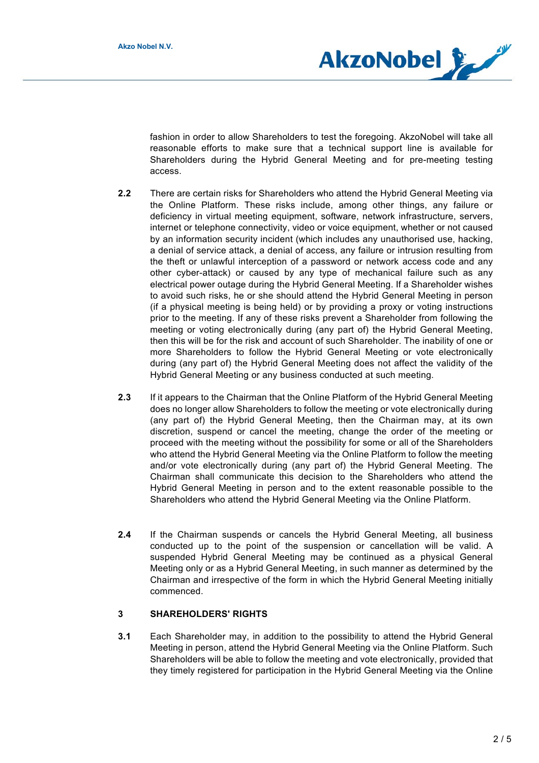

fashion in order to allow Shareholders to test the foregoing. AkzoNobel will take all reasonable efforts to make sure that a technical support line is available for Shareholders during the Hybrid General Meeting and for pre-meeting testing access.

- **2.2** There are certain risks for Shareholders who attend the Hybrid General Meeting via the Online Platform. These risks include, among other things, any failure or deficiency in virtual meeting equipment, software, network infrastructure, servers, internet or telephone connectivity, video or voice equipment, whether or not caused by an information security incident (which includes any unauthorised use, hacking, a denial of service attack, a denial of access, any failure or intrusion resulting from the theft or unlawful interception of a password or network access code and any other cyber-attack) or caused by any type of mechanical failure such as any electrical power outage during the Hybrid General Meeting. If a Shareholder wishes to avoid such risks, he or she should attend the Hybrid General Meeting in person (if a physical meeting is being held) or by providing a proxy or voting instructions prior to the meeting. If any of these risks prevent a Shareholder from following the meeting or voting electronically during (any part of) the Hybrid General Meeting, then this will be for the risk and account of such Shareholder. The inability of one or more Shareholders to follow the Hybrid General Meeting or vote electronically during (any part of) the Hybrid General Meeting does not affect the validity of the Hybrid General Meeting or any business conducted at such meeting.
- **2.3** If it appears to the Chairman that the Online Platform of the Hybrid General Meeting does no longer allow Shareholders to follow the meeting or vote electronically during (any part of) the Hybrid General Meeting, then the Chairman may, at its own discretion, suspend or cancel the meeting, change the order of the meeting or proceed with the meeting without the possibility for some or all of the Shareholders who attend the Hybrid General Meeting via the Online Platform to follow the meeting and/or vote electronically during (any part of) the Hybrid General Meeting. The Chairman shall communicate this decision to the Shareholders who attend the Hybrid General Meeting in person and to the extent reasonable possible to the Shareholders who attend the Hybrid General Meeting via the Online Platform.
- **2.4** If the Chairman suspends or cancels the Hybrid General Meeting, all business conducted up to the point of the suspension or cancellation will be valid. A suspended Hybrid General Meeting may be continued as a physical General Meeting only or as a Hybrid General Meeting, in such manner as determined by the Chairman and irrespective of the form in which the Hybrid General Meeting initially commenced.

### **3 SHAREHOLDERS' RIGHTS**

**3.1** Each Shareholder may, in addition to the possibility to attend the Hybrid General Meeting in person, attend the Hybrid General Meeting via the Online Platform. Such Shareholders will be able to follow the meeting and vote electronically, provided that they timely registered for participation in the Hybrid General Meeting via the Online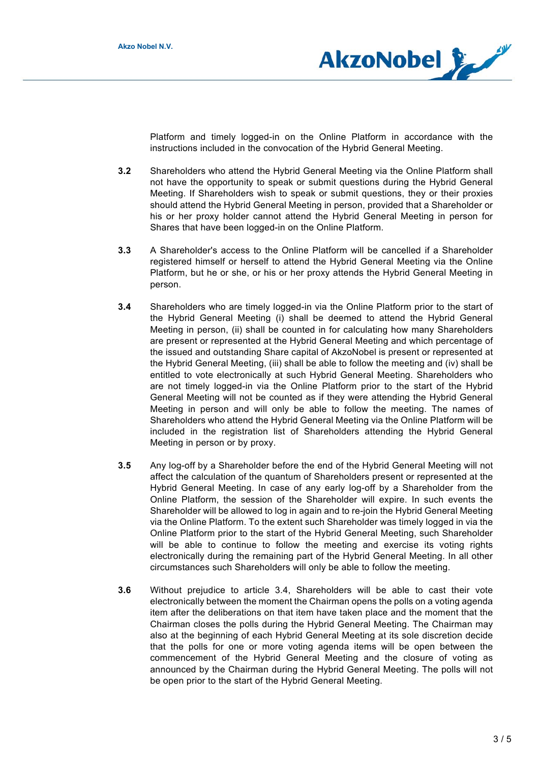

Platform and timely logged-in on the Online Platform in accordance with the instructions included in the convocation of the Hybrid General Meeting.

- **3.2** Shareholders who attend the Hybrid General Meeting via the Online Platform shall not have the opportunity to speak or submit questions during the Hybrid General Meeting. If Shareholders wish to speak or submit questions, they or their proxies should attend the Hybrid General Meeting in person, provided that a Shareholder or his or her proxy holder cannot attend the Hybrid General Meeting in person for Shares that have been logged-in on the Online Platform.
- **3.3** A Shareholder's access to the Online Platform will be cancelled if a Shareholder registered himself or herself to attend the Hybrid General Meeting via the Online Platform, but he or she, or his or her proxy attends the Hybrid General Meeting in person.
- **3.4** Shareholders who are timely logged-in via the Online Platform prior to the start of the Hybrid General Meeting (i) shall be deemed to attend the Hybrid General Meeting in person, (ii) shall be counted in for calculating how many Shareholders are present or represented at the Hybrid General Meeting and which percentage of the issued and outstanding Share capital of AkzoNobel is present or represented at the Hybrid General Meeting, (iii) shall be able to follow the meeting and (iv) shall be entitled to vote electronically at such Hybrid General Meeting. Shareholders who are not timely logged-in via the Online Platform prior to the start of the Hybrid General Meeting will not be counted as if they were attending the Hybrid General Meeting in person and will only be able to follow the meeting. The names of Shareholders who attend the Hybrid General Meeting via the Online Platform will be included in the registration list of Shareholders attending the Hybrid General Meeting in person or by proxy.
- **3.5** Any log-off by a Shareholder before the end of the Hybrid General Meeting will not affect the calculation of the quantum of Shareholders present or represented at the Hybrid General Meeting. In case of any early log-off by a Shareholder from the Online Platform, the session of the Shareholder will expire. In such events the Shareholder will be allowed to log in again and to re-join the Hybrid General Meeting via the Online Platform. To the extent such Shareholder was timely logged in via the Online Platform prior to the start of the Hybrid General Meeting, such Shareholder will be able to continue to follow the meeting and exercise its voting rights electronically during the remaining part of the Hybrid General Meeting. In all other circumstances such Shareholders will only be able to follow the meeting.
- **3.6** Without prejudice to article 3.4, Shareholders will be able to cast their vote electronically between the moment the Chairman opens the polls on a voting agenda item after the deliberations on that item have taken place and the moment that the Chairman closes the polls during the Hybrid General Meeting. The Chairman may also at the beginning of each Hybrid General Meeting at its sole discretion decide that the polls for one or more voting agenda items will be open between the commencement of the Hybrid General Meeting and the closure of voting as announced by the Chairman during the Hybrid General Meeting. The polls will not be open prior to the start of the Hybrid General Meeting.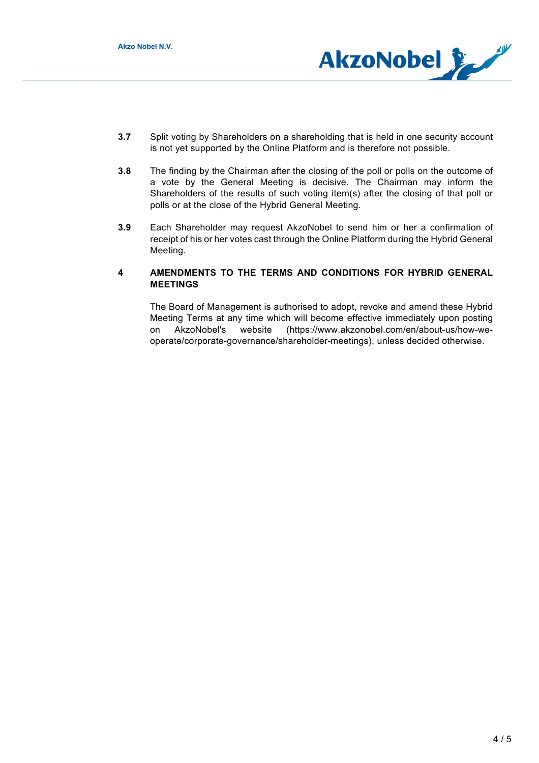

- **3.7** Split voting by Shareholders on a shareholding that is held in one security account is not yet supported by the Online Platform and is therefore not possible.
- **3.8** The finding by the Chairman after the closing of the poll or polls on the outcome of a vote by the General Meeting is decisive. The Chairman may inform the Shareholders of the results of such voting item(s) after the closing of that poll or polls or at the close of the Hybrid General Meeting.
- **3.9** Each Shareholder may request AkzoNobel to send him or her a confirmation of receipt of his or her votes cast through the Online Platform during the Hybrid General Meeting.

# **4 AMENDMENTS TO THE TERMS AND CONDITIONS FOR HYBRID GENERAL MEETINGS**

The Board of Management is authorised to adopt, revoke and amend these Hybrid Meeting Terms at any time which will become effective immediately upon posting on AkzoNobel's website (https://www.akzonobel.com/en/about-us/how-weoperate/corporate-governance/shareholder-meetings), unless decided otherwise.